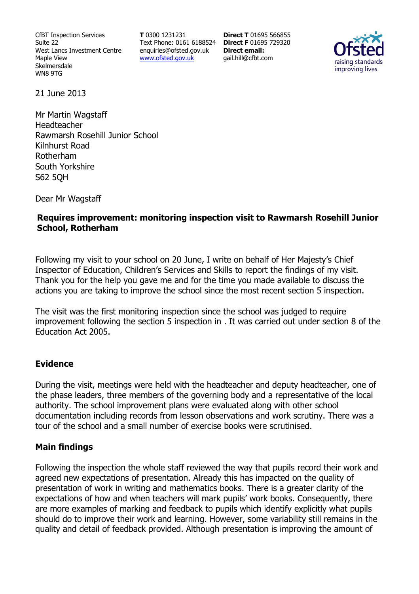CfBT Inspection Services Suite 22 West Lancs Investment Centre Maple View Skelmersdale WN8 9TG

**T** 0300 1231231 Text Phone: 0161 6188524 **Direct F** 01695 729320 enquiries@ofsted.gov.uk www.ofsted.gov.uk

**Direct T** 01695 566855 **Direct email:**  gail.hill@cfbt.com



21 June 2013

Mr Martin Wagstaff Headteacher Rawmarsh Rosehill Junior School Kilnhurst Road Rotherham South Yorkshire S62 5QH

Dear Mr Wagstaff

## **Requires improvement: monitoring inspection visit to Rawmarsh Rosehill Junior School, Rotherham**

Following my visit to your school on 20 June, I write on behalf of Her Majesty's Chief Inspector of Education, Children's Services and Skills to report the findings of my visit. Thank you for the help you gave me and for the time you made available to discuss the actions you are taking to improve the school since the most recent section 5 inspection.

The visit was the first monitoring inspection since the school was judged to require improvement following the section 5 inspection in . It was carried out under section 8 of the Education Act 2005.

### **Evidence**

During the visit, meetings were held with the headteacher and deputy headteacher, one of the phase leaders, three members of the governing body and a representative of the local authority. The school improvement plans were evaluated along with other school documentation including records from lesson observations and work scrutiny. There was a tour of the school and a small number of exercise books were scrutinised.

### **Main findings**

Following the inspection the whole staff reviewed the way that pupils record their work and agreed new expectations of presentation. Already this has impacted on the quality of presentation of work in writing and mathematics books. There is a greater clarity of the expectations of how and when teachers will mark pupils' work books. Consequently, there are more examples of marking and feedback to pupils which identify explicitly what pupils should do to improve their work and learning. However, some variability still remains in the quality and detail of feedback provided. Although presentation is improving the amount of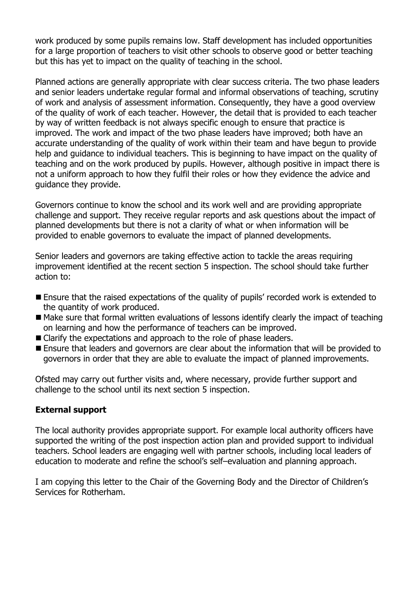work produced by some pupils remains low. Staff development has included opportunities for a large proportion of teachers to visit other schools to observe good or better teaching but this has yet to impact on the quality of teaching in the school.

Planned actions are generally appropriate with clear success criteria. The two phase leaders and senior leaders undertake regular formal and informal observations of teaching, scrutiny of work and analysis of assessment information. Consequently, they have a good overview of the quality of work of each teacher. However, the detail that is provided to each teacher by way of written feedback is not always specific enough to ensure that practice is improved. The work and impact of the two phase leaders have improved; both have an accurate understanding of the quality of work within their team and have begun to provide help and guidance to individual teachers. This is beginning to have impact on the quality of teaching and on the work produced by pupils. However, although positive in impact there is not a uniform approach to how they fulfil their roles or how they evidence the advice and guidance they provide.

Governors continue to know the school and its work well and are providing appropriate challenge and support. They receive regular reports and ask questions about the impact of planned developments but there is not a clarity of what or when information will be provided to enable governors to evaluate the impact of planned developments.

Senior leaders and governors are taking effective action to tackle the areas requiring improvement identified at the recent section 5 inspection. The school should take further action to:

- Ensure that the raised expectations of the quality of pupils' recorded work is extended to the quantity of work produced.
- Make sure that formal written evaluations of lessons identify clearly the impact of teaching on learning and how the performance of teachers can be improved.
- Clarify the expectations and approach to the role of phase leaders.
- Ensure that leaders and governors are clear about the information that will be provided to governors in order that they are able to evaluate the impact of planned improvements.

Ofsted may carry out further visits and, where necessary, provide further support and challenge to the school until its next section 5 inspection.

## **External support**

The local authority provides appropriate support. For example local authority officers have supported the writing of the post inspection action plan and provided support to individual teachers. School leaders are engaging well with partner schools, including local leaders of education to moderate and refine the school's self–evaluation and planning approach.

I am copying this letter to the Chair of the Governing Body and the Director of Children's Services for Rotherham.